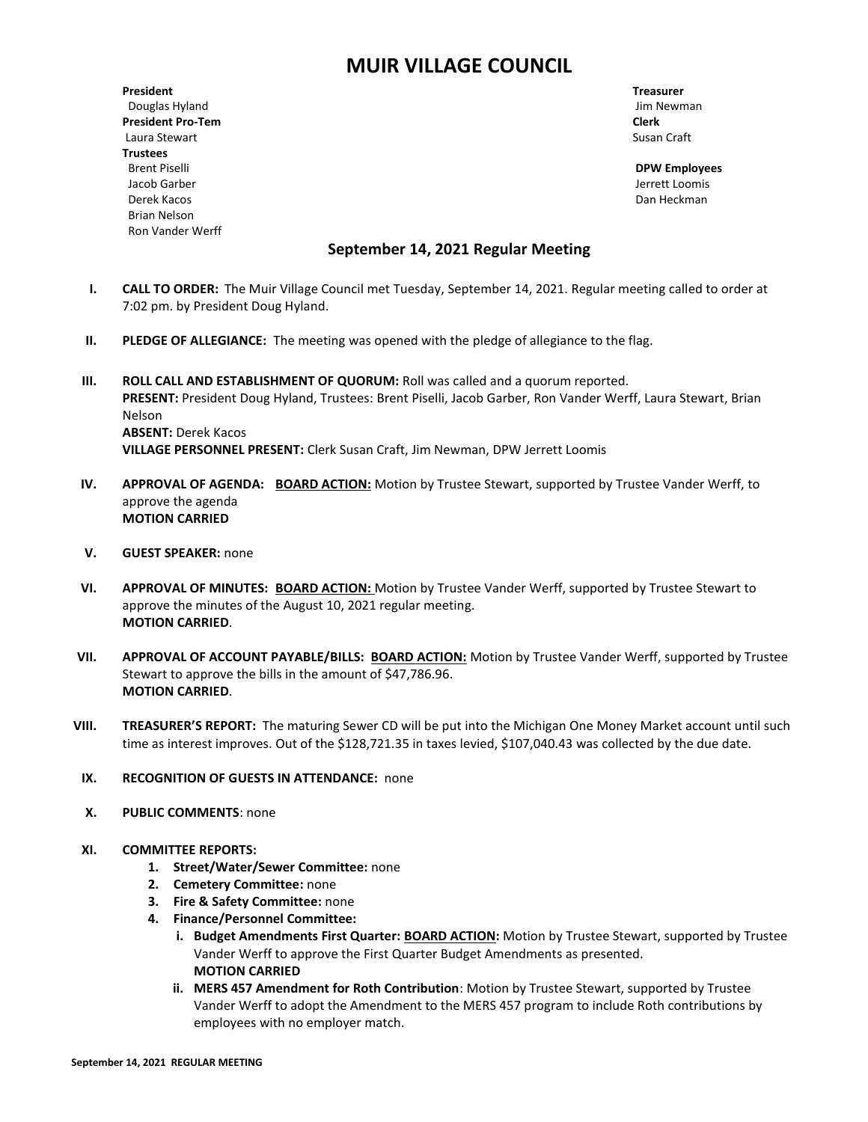# **MUIR VILLAGE COUNCIL**

**President Treasurer** Douglas Hyland **Douglas Hyland** Jim Newman **Jim Newman President Pro-Tem Clerk** Laura Stewart **Susan Craft** Susan Craft Susan Craft Susan Craft Susan Craft Susan Craft Susan Craft Susan Craft Susan Craft Susan Craft Susan Craft Susan Craft Susan Craft Susan Craft Susan Craft Susan Craft Susan Craft Su **Trustees** Brent Piselli **DPW Employees** Jacob Garber Jerrett Loomis Derek Kacos Dan Heckman Brian Nelson Ron Vander Werff

## **September 14, 2021 Regular Meeting**

- **I. CALL TO ORDER:** The Muir Village Council met Tuesday, September 14, 2021. Regular meeting called to order at 7:02 pm. by President Doug Hyland.
- **II. PLEDGE OF ALLEGIANCE:** The meeting was opened with the pledge of allegiance to the flag.
- **III. ROLL CALL AND ESTABLISHMENT OF QUORUM: Roll was called and a quorum reported. PRESENT:** President Doug Hyland, Trustees: Brent Piselli, Jacob Garber, Ron Vander Werff, Laura Stewart, Brian Nelson **ABSENT:** Derek Kacos **VILLAGE PERSONNEL PRESENT:** Clerk Susan Craft, Jim Newman, DPW Jerrett Loomis
- **IV. APPROVAL OF AGENDA: BOARD ACTION:** Motion by Trustee Stewart, supported by Trustee Vander Werff, to approve the agenda **MOTION CARRIED**
- **V. GUEST SPEAKER:** none
- **VI. APPROVAL OF MINUTES: BOARD ACTION:** Motion by Trustee Vander Werff, supported by Trustee Stewart to approve the minutes of the August 10, 2021 regular meeting. **MOTION CARRIED**.
- **VII. APPROVAL OF ACCOUNT PAYABLE/BILLS: BOARD ACTION:** Motion by Trustee Vander Werff, supported by Trustee Stewart to approve the bills in the amount of \$47,786.96. **MOTION CARRIED**.
- **VIII. TREASURER'S REPORT:** The maturing Sewer CD will be put into the Michigan One Money Market account until such time as interest improves. Out of the \$128,721.35 in taxes levied, \$107,040.43 was collected by the due date.
- **IX. RECOGNITION OF GUESTS IN ATTENDANCE:** none
- **X. PUBLIC COMMENTS**: none
- **XI. COMMITTEE REPORTS:**
	- **1. Street/Water/Sewer Committee:** none
	- **2. Cemetery Committee:** none
	- **3. Fire & Safety Committee:** none
	- **4. Finance/Personnel Committee:** 
		- **i. Budget Amendments First Quarter: BOARD ACTION:** Motion by Trustee Stewart, supported by Trustee Vander Werff to approve the First Quarter Budget Amendments as presented. **MOTION CARRIED**
		- **ii. MERS 457 Amendment for Roth Contribution**: Motion by Trustee Stewart, supported by Trustee Vander Werff to adopt the Amendment to the MERS 457 program to include Roth contributions by employees with no employer match.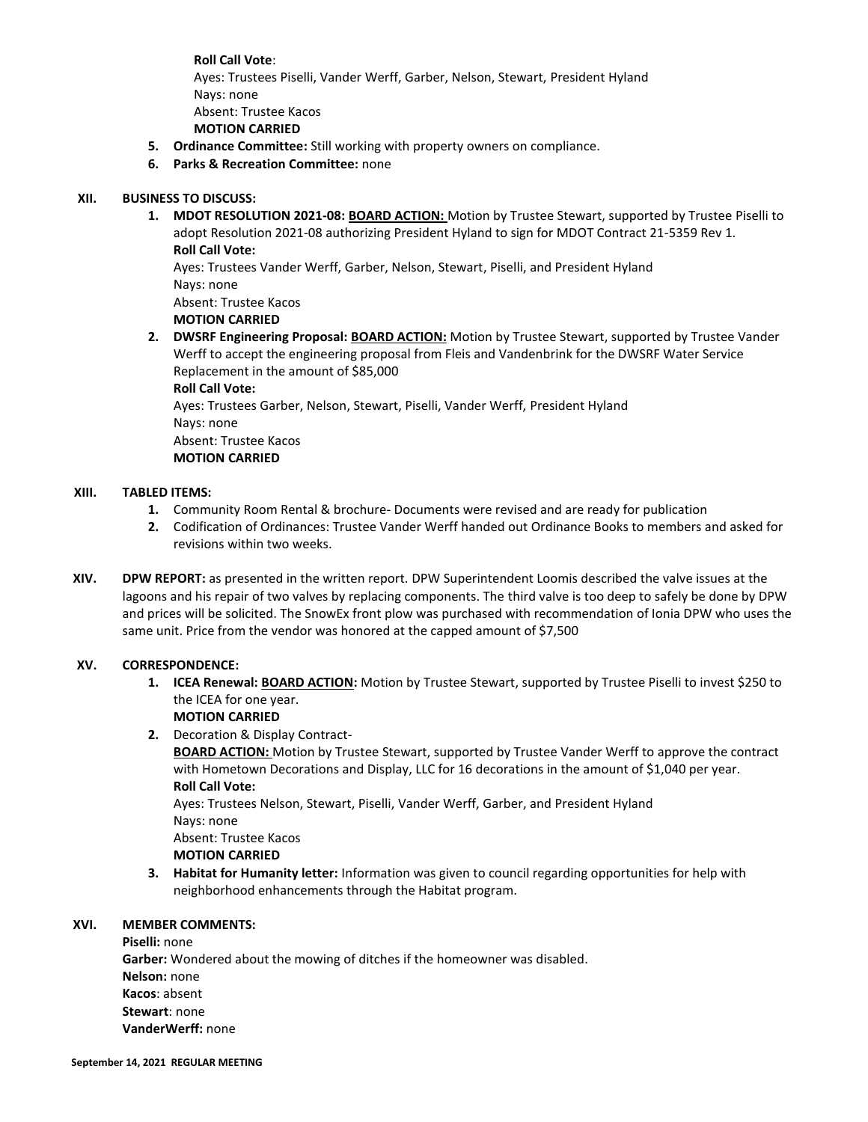**Roll Call Vote**: Ayes: Trustees Piselli, Vander Werff, Garber, Nelson, Stewart, President Hyland Nays: none Absent: Trustee Kacos **MOTION CARRIED**

- **5. Ordinance Committee:** Still working with property owners on compliance.
- **6. Parks & Recreation Committee:** none

#### **XII. BUSINESS TO DISCUSS:**

**1. MDOT RESOLUTION 2021-08: BOARD ACTION:** Motion by Trustee Stewart, supported by Trustee Piselli to adopt Resolution 2021-08 authorizing President Hyland to sign for MDOT Contract 21-5359 Rev 1. **Roll Call Vote:**

Ayes: Trustees Vander Werff, Garber, Nelson, Stewart, Piselli, and President Hyland Nays: none

Absent: Trustee Kacos

**MOTION CARRIED**

**2. DWSRF Engineering Proposal: BOARD ACTION:** Motion by Trustee Stewart, supported by Trustee Vander Werff to accept the engineering proposal from Fleis and Vandenbrink for the DWSRF Water Service Replacement in the amount of \$85,000

**Roll Call Vote:**

Ayes: Trustees Garber, Nelson, Stewart, Piselli, Vander Werff, President Hyland Nays: none Absent: Trustee Kacos **MOTION CARRIED**

#### **XIII. TABLED ITEMS:**

- **1.** Community Room Rental & brochure- Documents were revised and are ready for publication
- **2.** Codification of Ordinances: Trustee Vander Werff handed out Ordinance Books to members and asked for revisions within two weeks.
- **XIV. DPW REPORT:** as presented in the written report. DPW Superintendent Loomis described the valve issues at the lagoons and his repair of two valves by replacing components. The third valve is too deep to safely be done by DPW and prices will be solicited. The SnowEx front plow was purchased with recommendation of Ionia DPW who uses the same unit. Price from the vendor was honored at the capped amount of \$7,500

#### **XV. CORRESPONDENCE:**

**1. ICEA Renewal: BOARD ACTION:** Motion by Trustee Stewart, supported by Trustee Piselli to invest \$250 to the ICEA for one year.

# **MOTION CARRIED**

**2.** Decoration & Display Contract-

**BOARD ACTION:** Motion by Trustee Stewart, supported by Trustee Vander Werff to approve the contract with Hometown Decorations and Display, LLC for 16 decorations in the amount of \$1,040 per year. **Roll Call Vote:**

Ayes: Trustees Nelson, Stewart, Piselli, Vander Werff, Garber, and President Hyland Nays: none

Absent: Trustee Kacos

#### **MOTION CARRIED**

**3. Habitat for Humanity letter:** Information was given to council regarding opportunities for help with neighborhood enhancements through the Habitat program.

#### **XVI. MEMBER COMMENTS:**

**Piselli:** none **Garber:** Wondered about the mowing of ditches if the homeowner was disabled. **Nelson:** none **Kacos**: absent **Stewart**: none **VanderWerff:** none